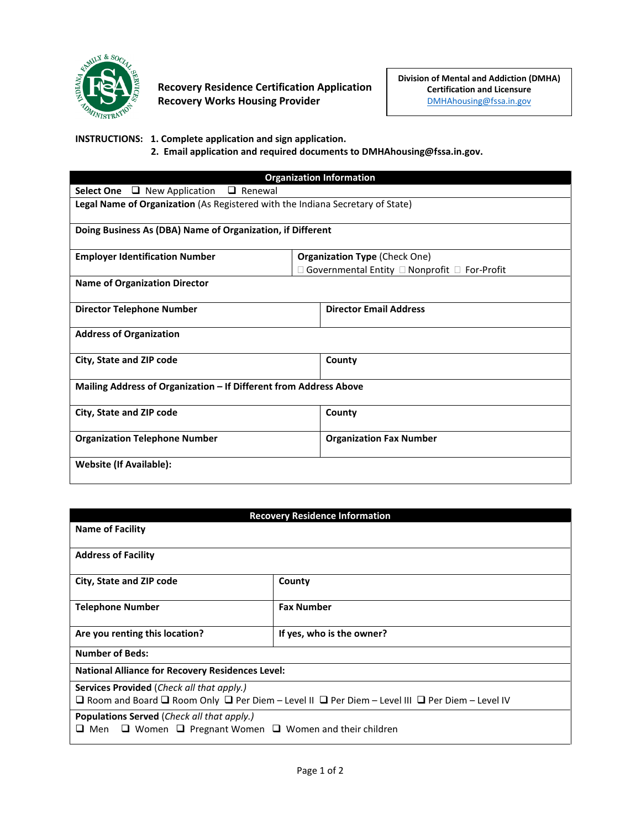

**Recovery Residence Certification Application Recovery Works Housing Provider**

**INSTRUCTIONS: 1. Complete application and sign application.** 

**2. Email application and required documents to DMHAhousing@fssa.in.gov.**

| <b>Organization Information</b>                                                |                                                               |                                |  |  |  |
|--------------------------------------------------------------------------------|---------------------------------------------------------------|--------------------------------|--|--|--|
| Select One $\Box$ New Application $\Box$ Renewal                               |                                                               |                                |  |  |  |
| Legal Name of Organization (As Registered with the Indiana Secretary of State) |                                                               |                                |  |  |  |
|                                                                                |                                                               |                                |  |  |  |
| Doing Business As (DBA) Name of Organization, if Different                     |                                                               |                                |  |  |  |
| <b>Employer Identification Number</b>                                          | <b>Organization Type (Check One)</b>                          |                                |  |  |  |
|                                                                                | $\Box$ Governmental Entity $\Box$ Nonprofit $\Box$ For-Profit |                                |  |  |  |
| <b>Name of Organization Director</b>                                           |                                                               |                                |  |  |  |
| <b>Director Telephone Number</b>                                               |                                                               | <b>Director Email Address</b>  |  |  |  |
| <b>Address of Organization</b>                                                 |                                                               |                                |  |  |  |
| City, State and ZIP code                                                       |                                                               | County                         |  |  |  |
| Mailing Address of Organization - If Different from Address Above              |                                                               |                                |  |  |  |
| City, State and ZIP code                                                       |                                                               | County                         |  |  |  |
| <b>Organization Telephone Number</b>                                           |                                                               | <b>Organization Fax Number</b> |  |  |  |
| <b>Website (If Available):</b>                                                 |                                                               |                                |  |  |  |

| <b>Recovery Residence Information</b>                                                                                    |                           |  |  |
|--------------------------------------------------------------------------------------------------------------------------|---------------------------|--|--|
| <b>Name of Facility</b>                                                                                                  |                           |  |  |
|                                                                                                                          |                           |  |  |
| <b>Address of Facility</b>                                                                                               |                           |  |  |
| City, State and ZIP code                                                                                                 | County                    |  |  |
| <b>Telephone Number</b>                                                                                                  | <b>Fax Number</b>         |  |  |
| Are you renting this location?                                                                                           | If yes, who is the owner? |  |  |
| <b>Number of Beds:</b>                                                                                                   |                           |  |  |
| <b>National Alliance for Recovery Residences Level:</b>                                                                  |                           |  |  |
| <b>Services Provided</b> ( <i>Check all that apply.</i> )                                                                |                           |  |  |
| $\Box$ Room and Board $\Box$ Room Only $\Box$ Per Diem – Level II $\Box$ Per Diem – Level III $\Box$ Per Diem – Level IV |                           |  |  |
| <b>Populations Served</b> ( <i>Check all that apply.</i> )                                                               |                           |  |  |
| $\Box$ Men $\Box$ Women $\Box$ Pregnant Women $\Box$ Women and their children                                            |                           |  |  |